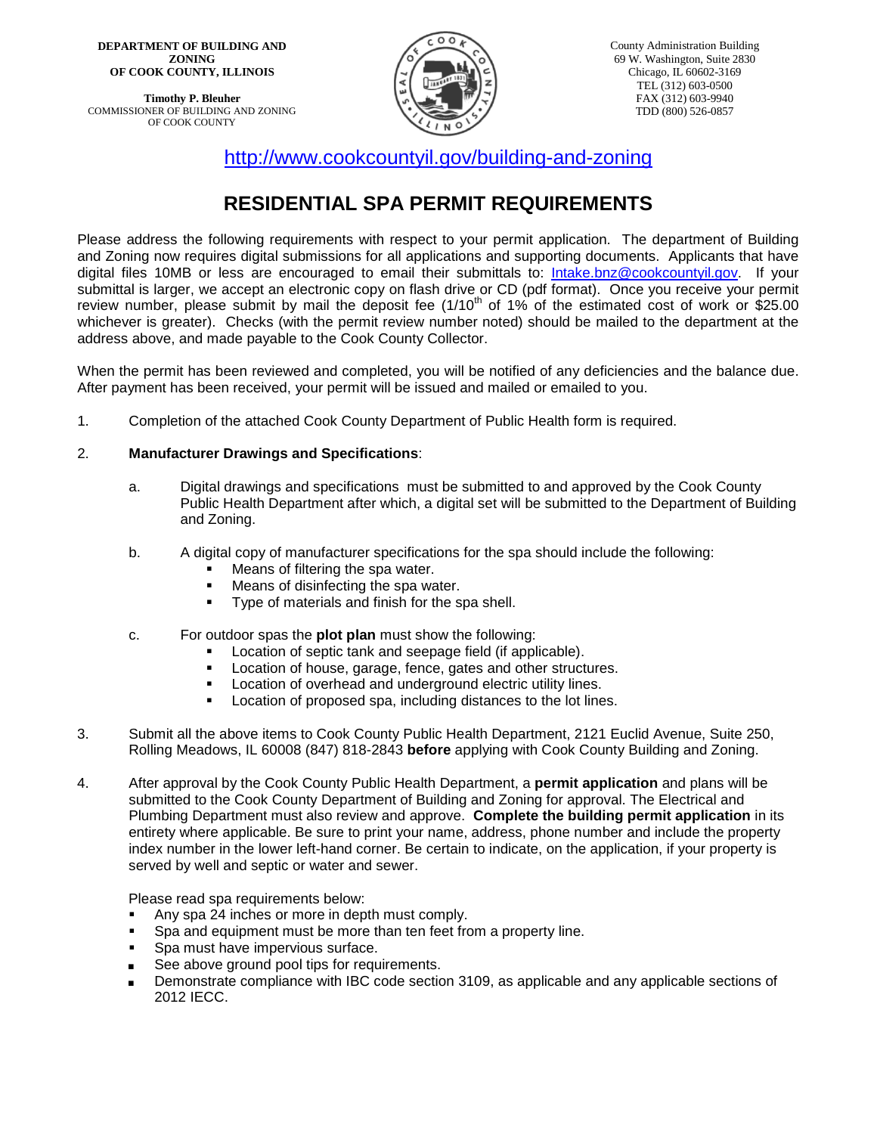**DEPARTMENT OF BUILDING AND ZONING OF COOK COUNTY, ILLINOIS**

**Timothy P. Bleuher** COMMISSIONER OF BUILDING AND ZONING OF COOK COUNTY



<http://www.cookcountyil.gov/building-and-zoning>

# **RESIDENTIAL SPA PERMIT REQUIREMENTS**

Please address the following requirements with respect to your permit application. The department of Building and Zoning now requires digital submissions for all applications and supporting documents. Applicants that have digital files 10MB or less are encouraged to email their submittals to: [Intake.bnz@cookcountyil.gov.](mailto:Intake.bnz@cookcountyil.gov) If your submittal is larger, we accept an electronic copy on flash drive or CD (pdf format). Once you receive your permit review number, please submit by mail the deposit fee  $(1/10<sup>th</sup>$  of 1% of the estimated cost of work or \$25.00 whichever is greater). Checks (with the permit review number noted) should be mailed to the department at the address above, and made payable to the Cook County Collector.

When the permit has been reviewed and completed, you will be notified of any deficiencies and the balance due. After payment has been received, your permit will be issued and mailed or emailed to you.

1. Completion of the attached Cook County Department of Public Health form is required.

### 2. **Manufacturer Drawings and Specifications**:

- a. Digital drawings and specifications must be submitted to and approved by the Cook County Public Health Department after which, a digital set will be submitted to the Department of Building and Zoning.
- b. A digital copy of manufacturer specifications for the spa should include the following:
	- **Means of filtering the spa water.**
	- Means of disinfecting the spa water.
	- Type of materials and finish for the spa shell.
- c. For outdoor spas the **plot plan** must show the following:
	- Location of septic tank and seepage field (if applicable).
	- **Location of house, garage, fence, gates and other structures.**
	- Location of overhead and underground electric utility lines.<br>Location of proposed spa, including distances to the lot line
	- Location of proposed spa, including distances to the lot lines.
- 3. Submit all the above items to Cook County Public Health Department, 2121 Euclid Avenue, Suite 250, Rolling Meadows, IL 60008 (847) 818-2843 **before** applying with Cook County Building and Zoning.
- 4. After approval by the Cook County Public Health Department, a **permit application** and plans will be submitted to the Cook County Department of Building and Zoning for approval. The Electrical and Plumbing Department must also review and approve. **Complete the building permit application** in its entirety where applicable. Be sure to print your name, address, phone number and include the property index number in the lower left-hand corner. Be certain to indicate, on the application, if your property is served by well and septic or water and sewer.

Please read spa requirements below:

- Any spa 24 inches or more in depth must comply.
- **Spa and equipment must be more than ten feet from a property line.**
- **Spa must have impervious surface.**
- See above ground pool tips for requirements.
- Demonstrate compliance with IBC code section 3109, as applicable and any applicable sections of 2012 IECC.